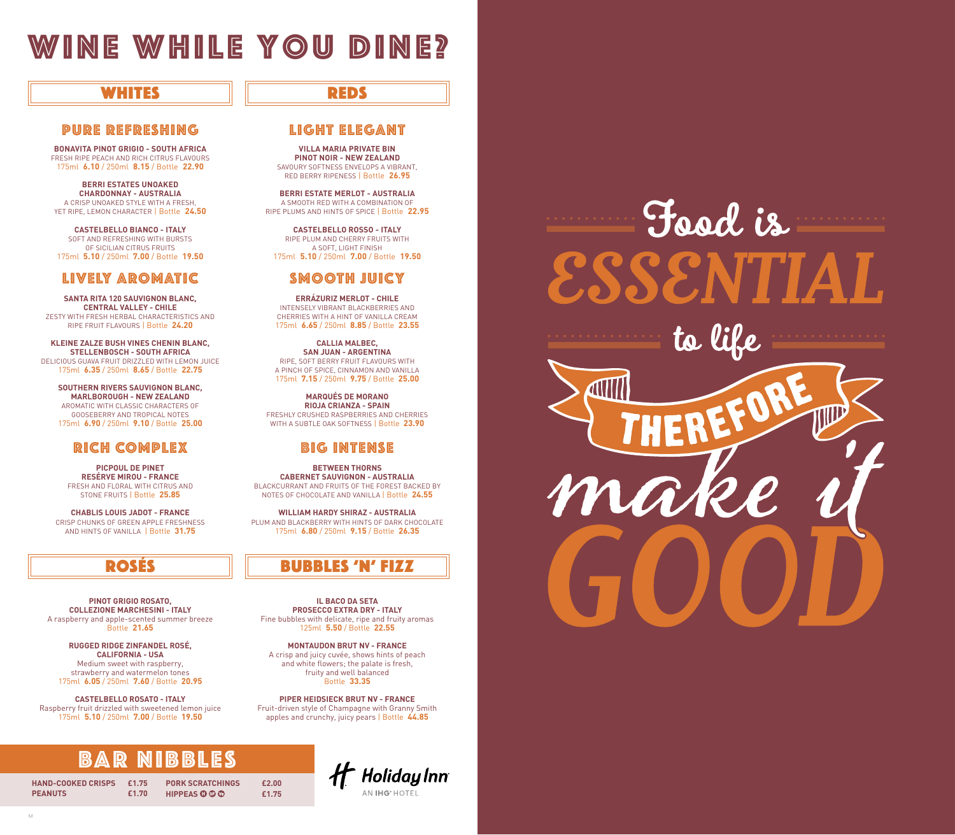# wine while you dine?

## whites REDs

### PURE REFRESHING LIGHT ELEGANT

**BONAVITA PINOT GRIGIO - SOUTH AFRICA** FRESH RIPE PEACH AND RICH CITRUS FLAVOURS 175ml **6.10** / 250ml **8.15** / Bottle **22.90**

**BERRI ESTATES UNOAKED CHARDONNAY - AUSTRALIA** A CRISP UNOAKED STYLE WITH A FRESH, YET RIPE, LEMON CHARACTER | Bottle **24.50**

**CASTELBELLO BIANCO - ITALY** SOFT AND REFRESHING WITH BURSTS OF SICILIAN CITRUS FRUITS 175ml **5.10** / 250ml **7.00** / Bottle **19.50**

## LIVELY AROMATIC SMOOTH JUICY

**SANTA RITA 120 SAUVIGNON BLANC, CENTRAL VALLEY - CHILE** ZESTY WITH FRESH HERBAL CHARACTERISTICS AND RIPE FRUIT FLAVOURS | Bottle **24.20**

**KLEINE ZALZE BUSH VINES CHENIN BLANC, STELLENBOSCH - SOUTH AFRICA**  DELICIOUS GUAVA FRUIT DRIZZLED WITH LEMON JUICE 175ml **6.35** / 250ml **8.65** / Bottle **22.75**

**SOUTHERN RIVERS SAUVIGNON BLANC, MARLBOROUGH - NEW ZEALAND** AROMATIC WITH CLASSIC CHARACTERS OF GOOSEBERRY AND TROPICAL NOTES 175ml **6.90** / 250ml **9.10** / Bottle **25.00**

## RICH COMPLEX BIG INTENSE

**PICPOUL DE PINET RESÉRVE MIROU - FRANCE** FRESH AND FLORAL WITH CITRUS AND STONE FRUITS | Bottle **25.85**

**CHABLIS LOUIS JADOT - FRANCE** CRISP CHUNKS OF GREEN APPLE FRESHNESS AND HINTS OF VANILLA | Bottle **31.75**

**PINOT GRIGIO ROSATO, COLLEZIONE MARCHESINI - ITALY** A raspberry and apple-scented summer breeze Bottle **21.65**

**RUGGED RIDGE ZINFANDEL ROSÉ, CALIFORNIA - USA** Medium sweet with raspberry, strawberry and watermelon tones 175ml **6.05** / 250ml **7.60** / Bottle **20.95**

**CASTELBELLO ROSATO - ITALY** Raspberry fruit drizzled with sweetened lemon juice 175ml **5.10** / 250ml **7.00** / Bottle **19.50**

# **NIBBLES**

**PORK SCRATCHINGS £2.00 HIPPEAS £1.75**

**HAND-COOKED CRISPS £1.75 PEANUTS £1.70**

M

**VILLA MARIA PRIVATE BIN PINOT NOIR - NEW ZEALAND** SAVOURY SOFTNESS ENVELOPS A VIBRANT, RED BERRY RIPENESS | Bottle **26.95**

**BERRI ESTATE MERLOT - AUSTRALIA** A SMOOTH RED WITH A COMBINATION OF RIPE PLUMS AND HINTS OF SPICE | Bottle **22.95**

**CASTELBELLO ROSSO - ITALY** RIPE PLUM AND CHERRY FRUITS WITH A SOFT, LIGHT FINISH 175ml **5.10** / 250ml **7.00** / Bottle **19.50**

**ERRÁZURIZ MERLOT - CHILE** INTENSELY VIBRANT BLACKBERRIES AND CHERRIES WITH A HINT OF VANILLA CREAM 175ml **6.65** / 250ml **8.85** / Bottle **23.55**

**CALLIA MALBEC, SAN JUAN - ARGENTINA** RIPE, SOFT BERRY FRUIT FLAVOURS WITH A PINCH OF SPICE, CINNAMON AND VANILLA 175ml **7.15** / 250ml **9.75** / Bottle **25.00**

**MARQUÉS DE MORANO RIOJA CRIANZA - SPAIN** FRESHLY CRUSHED RASPBERRIES AND CHERRIES WITH A SUBTLE OAK SOFTNESS | Bottle **23.90**

**BETWEEN THORNS CABERNET SAUVIGNON - AUSTRALIA** BLACKCURRANT AND FRUITS OF THE FOREST BACKED BY NOTES OF CHOCOLATE AND VANILLA | Bottle **24.55**

**WILLIAM HARDY SHIRAZ - AUSTRALIA** PLUM AND BLACKBERRY WITH HINTS OF DARK CHOCOLATE 175ml **6.80** / 250ml **9.15** / Bottle **26.35**

## ROSÉS HILLE BUBBLES 'N' FIZZ

**IL BACO DA SETA PROSECCO EXTRA DRY - ITALY** Fine bubbles with delicate, ripe and fruity aromas 125ml **5.50** / Bottle **22.55**

**MONTAUDON BRUT NV - FRANCE** A crisp and juicy cuvée, shows hints of peach and white flowers; the palate is fresh, fruity and well balanced Bottle **33.35**

**PIPER HEIDSIECK BRUT NV - FRANCE** Fruit-driven style of Champagne with Granny Smith apples and crunchy, juicy pears | Bottle **44.85**

> **Ht** Holiday Inn AN **IHG**® HOTEL

Food is to life **AV** ma